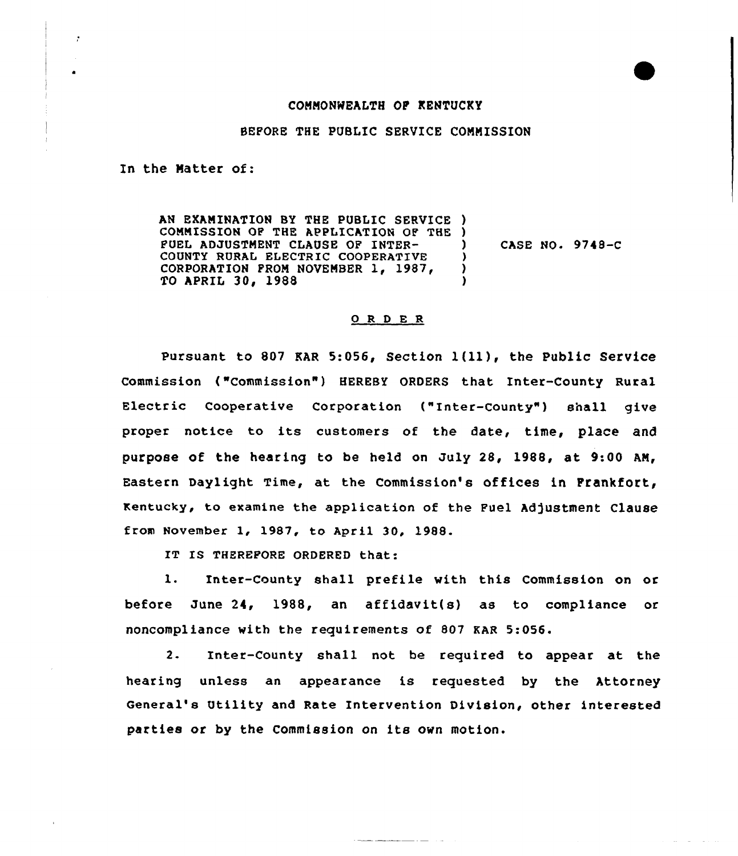## COMMONWEALTH OF KENTUCKY

BEFORE THE PUBLIC SERVICE COMMISSION

In the Matter of:

AN EXAMINATION BY THE PUBLIC SERVICE ) COMMISSION OF THE APPLICATION OF THE ) FUEL ADJUSTMENT CLAUSE OF INTER-COUNTY RURAL ELECTRIC COOPERATIVE CORPORATION PROM NOVEMBER 1, 1987, TO APRIL 30, 1988 ) CASE NO. 9748-C ) )

## 0 R <sup>D</sup> E R

pursuant to <sup>807</sup> EAR 5:056, Section l(11), the public Service Commission ("Commission") HEREBY ORDERS that Inter-County Rural Electric Cooperative Corporation ("Inter-County") shall give proper notice to its customers of the date, time, place and purpose of the hearing to be held on July 28, 1988, at 9:00 AN, Eastern Daylight Time, at the Commission's offices in Prankfort, Kentucky, to examine the application of the Fuel Adjustment Clause from November 1, 1987, to April 30, 1988.

IT IS THEREFORE ORDERED that:

l. Inter-County shall prefile with this Commission on or before June 24, 1988, an affidavit{s) as to compliance or noncompliance with the requirements of 807 KAR 5:056.

2. Inter-County shall not be required to appear at the hearing unless an appearance is requested by the Attorney General's Utility and Rate Intervention Division, other interested parties or by the Commission on its own motion.